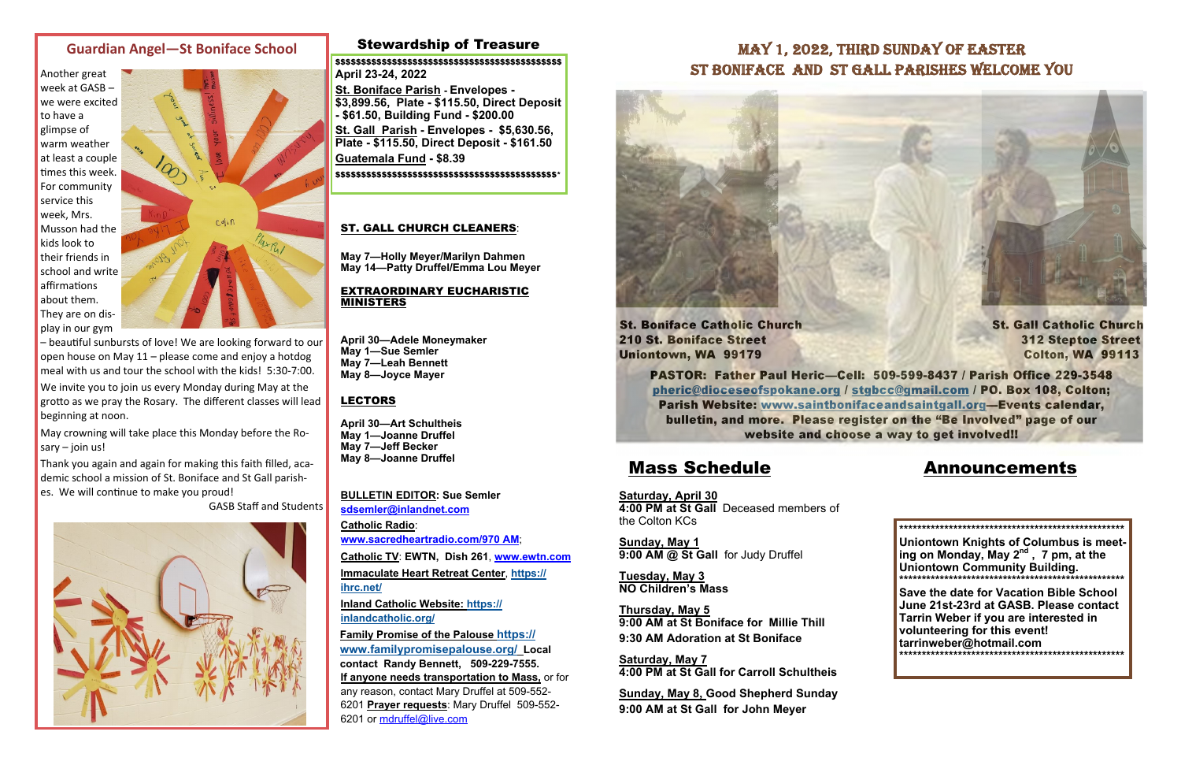### Stewardship of Treasure

**Saturday, April 30 4:00 PM at St Gall** Deceased members of the Colton KCs

**Sunday, May 1 9:00 AM @ St Gall** for Judy Druffel

**Tuesday, May 3 NO Children's Mass** 

**Thursday, May 5 9:00 AM at St Boniface for Millie Thill 9:30 AM Adoration at St Boniface** 

**Saturday, May 7 4:00 PM at St Gall for Carroll Schultheis** 

**Sunday, May 8, Good Shepherd Sunday 9:00 AM at St Gall for John Meyer** 



## Mass Schedule Announcements

**BULLETIN EDITOR: Sue Semler sdsemler@inlandnet.com Catholic Radio**: **www.sacredheartradio.com/970 AM**; **Catholic TV**: **EWTN, Dish 261**, **www.ewtn.com**

**Immaculate Heart Retreat Center**, **https:// ihrc.net/**

**Inland Catholic Website: https:// inlandcatholic.org/**

**Family Promise of the Palouse https:// www.familypromisepalouse.org/ Local contact Randy Bennett, 509-229-7555. If anyone needs transportation to Mass,** or for any reason, contact Mary Druffel at 509-552- 6201 **Prayer requests**: Mary Druffel 509-552- 6201 or mdruffel@live.com

Thank you again and again for making this faith filled, academic school <sup>a</sup> mission of St. Boniface and St Gall parishes. We will continue to make you proud!

### **Guardian Angel—St Boniface School**

Another great week at GASB–we were excitedto have <sup>a</sup> glimpse of warm weather at least <sup>a</sup> couple Ɵmes this week. For community service this week, Mrs. Musson had the kids look totheir friends inschool and write affirmations about them. They are on display in our gym



– beau Ɵful sunbursts of love! We are looking forward to our open house on May 11 – please come and enjoy <sup>a</sup> hotdog meal with us and tour the school with the kids! 5:30-7:00.

We invite you to join us every Monday during May at the gro Ʃ o as we pray the Rosary. The di fferent classes will lead beginning at noon.

May crowning will take place this Monday before the Rosary – join us!

GASB Staff and Students



## MAY 1, 2022, THIRD SUNDAY OF EASTER ST BONIFACE AND ST GALL PARISHES WELCOME YOU



### ST. GALL CHURCH CLEANERS:

**May 7—Holly Meyer/Marilyn Dahmen May 14—Patty Druffel/Emma Lou Meyer** 

### EXTRAORDINARY EUCHARISTIC MINISTERS

**April 30—Adele Moneymaker May 1—Sue Semler May 7—Leah Bennett May 8—Joyce Mayer** 

### LECTORS

**April 30—Art Schultheis May 1—Joanne Druffel May 7—Jeff Becker May 8—Joanne Druffel** 

> **\*\*\*\*\*\*\*\*\*\*\*\*\*\*\*\*\*\*\*\*\*\*\*\*\*\*\*\*\*\*\*\*\*\*\*\*\*\*\*\*\*\*\*\*\*\*\*\*\*\* Uniontown Knights of Columbus is meeting on Monday, May 2nd , 7 pm, at the Uniontown Community Building. \*\*\*\*\*\*\*\*\*\*\*\*\*\*\*\*\*\*\*\*\*\*\*\*\*\*\*\*\*\*\*\*\*\*\*\*\*\*\*\*\*\*\*\*\*\*\*\*\*\***

**Save the date for Vacation Bible School June 21st-23rd at GASB. Please contact Tarrin Weber if you are interested in volunteering for this event! tarrinweber@hotmail.com \*\*\*\*\*\*\*\*\*\*\*\*\*\*\*\*\*\*\*\*\*\*\*\*\*\*\*\*\*\*\*\*\*\*\*\*\*\*\*\*\*\*\*\*\*\*\*\*\*\*** 

\$\$\$\$\$\$\$\$\$\$\$\$\$\$\$\$\$\$\$\$\$\$\$\$\$\$\$\$\$\$\$\$\$\$\$\$\$\$\$\$\$\$\$\$ **April 23-24, 2022** 

**St. Boniface Parish - Envelopes - \$3,899.56, Plate - \$115.50, Direct Deposit - \$61.50, Building Fund - \$200.00** 

**St. Gall Parish - Envelopes - \$5,630.56, Plate - \$115.50, Direct Deposit - \$161.50** 

**Guatemala Fund - \$8.39**

\$\$\$\$\$\$\$\$\$\$\$\$\$\$\$\$\$\$\$\$\$\$\$\$\$\$\$\$\$\$\$\$\$\$\$\$\$\$\$\$\$\$\$\*

St. Boniface Catholic Church St. Gall Catholic Church 210 St. Boniface Street 312 Steptoe Street Uniontown, WA 99179 Colton, WA 99113

PASTOR: Father Paul Heric—Cell: 509-599-8437 / Parish Office 229-3548 pheric@dioceseofspokane.org / stgbcc@gmail.com / PO. Box 108, Colton; Parish Website: www.saintbonifaceandsaintgall.org—Events calendar, bulletin, and more. Please register on the "Be Involved" page of our website and choose a way to get involved!!